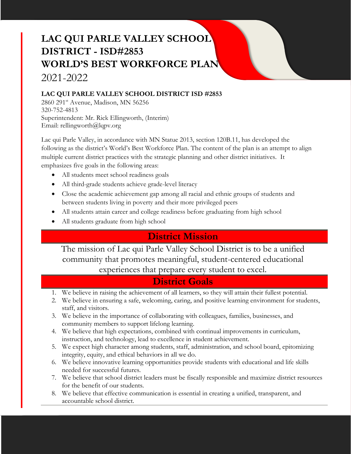# **LAC QUI PARLE VALLEY SCHOOL DISTRICT - ISD#2853 WORLD'S BEST WORKFORCE PLAN** 2021-2022

### **LAC QUI PARLE VALLEY SCHOOL DISTRICT ISD #2853**

2860 291<sup>st</sup> Avenue, Madison, MN 56256 320-752-4813 Superintendent: Mr. Rick Ellingworth, (Interim) Email: rellingworth@lqpv.org

Lac qui Parle Valley, in accordance with MN Statue 2013, section 120B.11, has developed the following as the district's World's Best Workforce Plan. The content of the plan is an attempt to align multiple current district practices with the strategic planning and other district initiatives. It emphasizes five goals in the following areas:

- All students meet school readiness goals
- All third-grade students achieve grade-level literacy
- Close the academic achievement gap among all racial and ethnic groups of students and between students living in poverty and their more privileged peers
- All students attain career and college readiness before graduating from high school
- All students graduate from high school

### **District Mission**

The mission of Lac qui Parle Valley School District is to be a unified community that promotes meaningful, student-centered educational experiences that prepare every student to excel.

### **District Goals**

- 1. We believe in raising the achievement of all learners, so they will attain their fullest potential.
- 2. We believe in ensuring a safe, welcoming, caring, and positive learning environment for students, staff, and visitors.
- 3. We believe in the importance of collaborating with colleagues, families, businesses, and community members to support lifelong learning.
- 4. We believe that high expectations, combined with continual improvements in curriculum, instruction, and technology, lead to excellence in student achievement.
- 5. We expect high character among students, staff, administration, and school board, epitomizing integrity, equity, and ethical behaviors in all we do.
- 6. We believe innovative learning opportunities provide students with educational and life skills needed for successful futures.
- 7. We believe that school district leaders must be fiscally responsible and maximize district resources for the benefit of our students.
- 8. We believe that effective communication is essential in creating a unified, transparent, and accountable school district.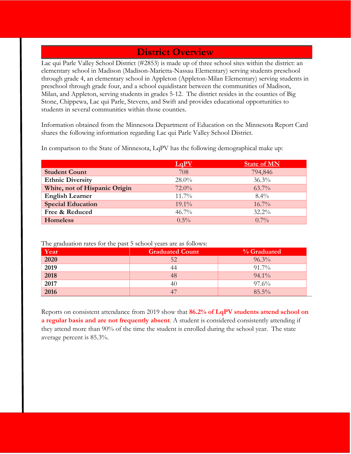### **District Overview**

Lac qui Parle Valley School District (#2853) is made up of three school sites within the district: an elementary school in Madison (Madison-Marietta-Nassau Elementary) serving students preschool through grade 4, an elementary school in Appleton (Appleton-Milan Elementary) serving students in preschool through grade four, and a school equidistant between the communities of Madison, Milan, and Appleton, serving students in grades 5-12. The district resides in the counties of Big Stone, Chippewa, Lac qui Parle, Stevens, and Swift and provides educational opportunities to students in several communities within those counties.

Information obtained from the Minnesota Department of Education on the Minnesota Report Card shares the following information regarding Lac qui Parle Valley School District.

|                               |          | <b>State of MN</b> |
|-------------------------------|----------|--------------------|
| <b>Student Count</b>          | 708      | 794,846            |
| <b>Ethnic Diversity</b>       | $28.0\%$ | 36.3%              |
| White, not of Hispanic Origin | $72.0\%$ | $63.7\%$           |
| <b>English Learner</b>        | $11.7\%$ | $8.4\%$            |
| <b>Special Education</b>      | $19.1\%$ | $16.7\%$           |
| Free & Reduced                | $46.7\%$ | $32.2\%$           |
| <b>Homeless</b>               | $0.5\%$  | $0.7\%$            |

In comparison to the State of Minnesota, LqPV has the following demographical make up:

The graduation rates for the past 5 school years are as follows:

| $\sim$<br>Year   | <b>Graduated Count</b> | % Graduated |
|------------------|------------------------|-------------|
| 2020             | 52                     | 96.3%       |
| $\frac{1}{2019}$ | 44                     | 91.7%       |
| 2018             | 48                     | $94.1\%$    |
| 2017             | 40                     | $97.6\%$    |
| 2016             | 47                     | $85.5\%$    |

Reports on consistent attendance from 2019 show that **86.2% of LqPV students attend school on a regular basis and are not frequently absent**. A student is considered consistently attending if they attend more than 90% of the time the student is enrolled during the school year. The state average percent is 85.3%.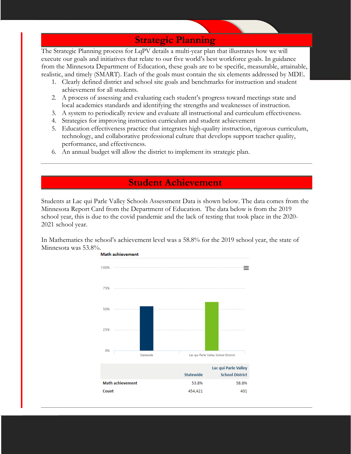### **Strategic Planning**

The Strategic Planning process for LqPV details a multi-year plan that illustrates how we will execute our goals and initiatives that relate to our five world's best workforce goals. In guidance from the Minnesota Department of Education, these goals are to be specific, measurable, attainable, realistic, and timely (SMART). Each of the goals must contain the six elements addressed by MDE.

- 1. Clearly defined district and school site goals and benchmarks for instruction and student achievement for all students.
- 2. A process of assessing and evaluating each student's progress toward meetings state and local academics standards and identifying the strengths and weaknesses of instruction.
- 3. A system to periodically review and evaluate all instructional and curriculum effectiveness.
- 4. Strategies for improving instruction curriculum and student achievement
- 5. Education effectiveness practice that integrates high-quality instruction, rigorous curriculum, technology, and collaborative professional culture that develops support teacher quality, performance, and effectiveness.
- 6. An annual budget will allow the district to implement its strategic plan.

### **Student Achievement**

Students at Lac qui Parle Valley Schools Assessment Data is shown below. The data comes from the Minnesota Report Card from the Department of Education. The data below is from the 2019 school year, this is due to the covid pandemic and the lack of testing that took place in the 2020- 2021 school year.

In Mathematics the school's achievement level was a 58.8% for the 2019 school year, the state of Minnesota was 53.8%.

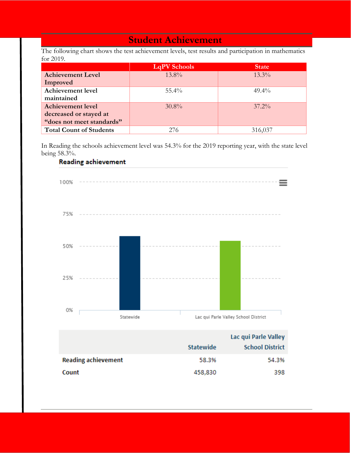### **Student Achievement**

The following chart shows the test achievement levels, test results and participation in mathematics for 2019.

|                                | <b>LqPV</b> Schools | <b>State</b> |
|--------------------------------|---------------------|--------------|
| <b>Achievement Level</b>       | $13.8\%$            | $13.3\%$     |
| Improved                       |                     |              |
| <b>Achievement level</b>       | $55.4\%$            | $49.4\%$     |
| maintained                     |                     |              |
| <b>Achievement level</b>       | $30.8\%$            | $37.2\%$     |
| decreased or stayed at         |                     |              |
| "does not meet standards"      |                     |              |
| <b>Total Count of Students</b> | 276                 | 316,037      |

In Reading the schools achievement level was 54.3% for the 2019 reporting year, with the state level being 58.3%.<br>Reading achievement



|                  | Lac qui Parie Valley   |
|------------------|------------------------|
| <b>Statewide</b> | <b>School District</b> |
| 58.3%            | 54.3%                  |
| 458,830          | 398                    |
|                  |                        |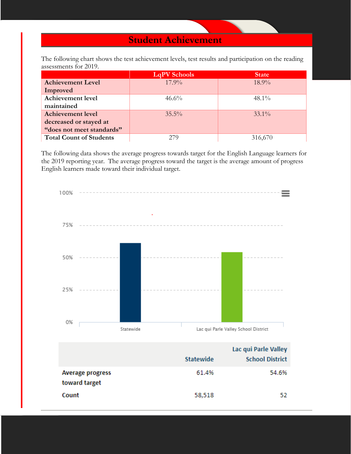### **Student Achievement**

The following chart shows the test achievement levels, test results and participation on the reading assessments for 2019.

|                                | <b>LqPV</b> Schools | <b>State</b> |
|--------------------------------|---------------------|--------------|
| <b>Achievement Level</b>       | $17.9\%$            | $18.9\%$     |
| Improved                       |                     |              |
| <b>Achievement level</b>       | $46.6\%$            | $48.1\%$     |
| maintained                     |                     |              |
| <b>Achievement level</b>       | $35.5\%$            | $33.1\%$     |
| decreased or stayed at         |                     |              |
| "does not meet standards"      |                     |              |
| <b>Total Count of Students</b> | 279                 | 316,670      |

The following data shows the average progress towards target for the English Language learners for the 2019 reporting year. The average progress toward the target is the average amount of progress English learners made toward their individual target.

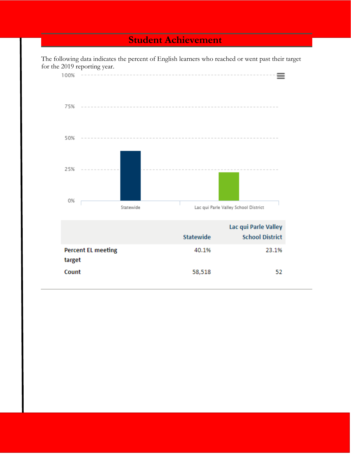### **Student Achievement**

The following data indicates the percent of English learners who reached or went past their target for the 2019 reporting year.

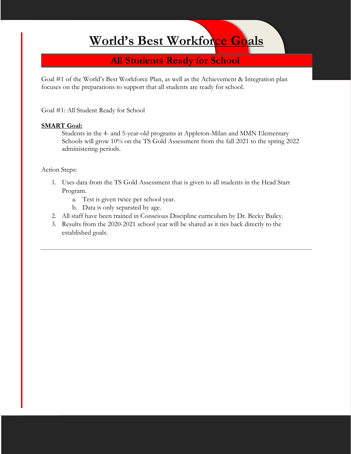# **World's Best Workforce Goals**

### **All Students Ready for School**

Goal #1 of the World's Best Workforce Plan, as well as the Achievement & Integration plan focuses on the preparations to support that all students are ready for school.

Goal #1: All Student Ready for School

#### **SMART Goal:**

Students in the 4- and 5-year-old programs at Appleton-Milan and MMN Elementary Schools will grow 10% on the TS Gold Assessment from the fall 2021 to the spring 2022 administering periods.

- 1. Uses data from the TS Gold Assessment that is given to all students in the Head Start Program.
	- a. Test is given twice per school year.
	- b. Data is only separated by age.
- 2. All staff have been trained in Conscious Discipline curriculum by Dr. Becky Bailey.
- 3. Results from the 2020-2021 school year will be shared as it ties back directly to the established goals.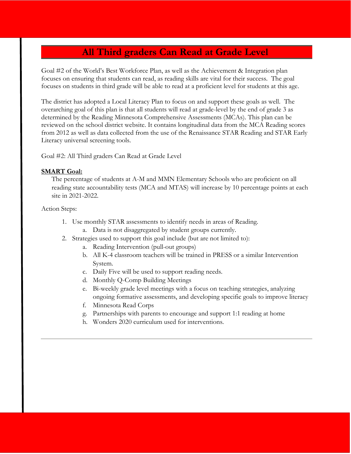### **All Third graders Can Read at Grade Level**

Goal #2 of the World's Best Workforce Plan, as well as the Achievement & Integration plan focuses on ensuring that students can read, as reading skills are vital for their success. The goal focuses on students in third grade will be able to read at a proficient level for students at this age.

The district has adopted a Local Literacy Plan to focus on and support these goals as well. The overarching goal of this plan is that all students will read at grade-level by the end of grade 3 as determined by the Reading Minnesota Comprehensive Assessments (MCAs). This plan can be reviewed on the school district website. It contains longitudinal data from the MCA Reading scores from 2012 as well as data collected from the use of the Renaissance STAR Reading and STAR Early Literacy universal screening tools.

Goal #2: All Third graders Can Read at Grade Level

#### **SMART Goal:**

The percentage of students at A-M and MMN Elementary Schools who are proficient on all reading state accountability tests (MCA and MTAS) will increase by 10 percentage points at each site in 2021-2022.

- 1. Use monthly STAR assessments to identify needs in areas of Reading.
	- a. Data is not disaggregated by student groups currently.
- 2. Strategies used to support this goal include (but are not limited to):
	- a. Reading Intervention (pull-out groups)
	- b. All K-4 classroom teachers will be trained in PRESS or a similar Intervention System.
	- c. Daily Five will be used to support reading needs.
	- d. Monthly Q-Comp Building Meetings
	- e. Bi-weekly grade level meetings with a focus on teaching strategies, analyzing ongoing formative assessments, and developing specific goals to improve literacy
	- f. Minnesota Read Corps
	- g. Partnerships with parents to encourage and support 1:1 reading at home
	- h. Wonders 2020 curriculum used for interventions.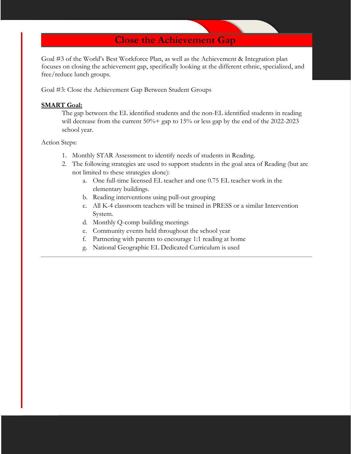**Close the Achievement Gap**

Goal #3 of the World's Best Workforce Plan, as well as the Achievement & Integration plan focuses on closing the achievement gap, specifically looking at the different ethnic, specialized, and free/reduce lunch groups.

Goal #3: Close the Achievement Gap Between Student Groups

#### **SMART Goal:**

The gap between the EL identified students and the non-EL identified students in reading will decrease from the current 50%+ gap to 15% or less gap by the end of the 2022-2023 school year.

- 1. Monthly STAR Assessment to identify needs of students in Reading.
- 2. The following strategies are used to support students in the goal area of Reading (but are not limited to these strategies alone):
	- a. One full-time licensed EL teacher and one 0.75 EL teacher work in the elementary buildings.
	- b. Reading interventions using pull-out grouping
	- c. All K-4 classroom teachers will be trained in PRESS or a similar Intervention System.
	- d. Monthly Q-comp building meetings
	- e. Community events held throughout the school year
	- f. Partnering with parents to encourage 1:1 reading at home
	- g. National Geographic EL Dedicated Curriculum is used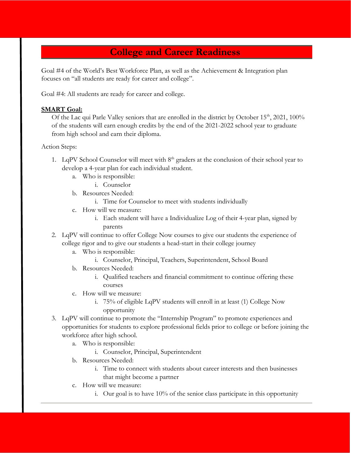## **College and Career Readiness**

Goal #4 of the World's Best Workforce Plan, as well as the Achievement & Integration plan focuses on "all students are ready for career and college".

Goal #4: All students are ready for career and college.

#### **SMART Goal:**

Of the Lac qui Parle Valley seniors that are enrolled in the district by October 15<sup>th</sup>, 2021, 100% of the students will earn enough credits by the end of the 2021-2022 school year to graduate from high school and earn their diploma.

- 1. LqPV School Counselor will meet with  $8<sup>th</sup>$  graders at the conclusion of their school year to develop a 4-year plan for each individual student.
	- a. Who is responsible:
		- i. Counselor
	- b. Resources Needed:
		- i. Time for Counselor to meet with students individually
	- c. How will we measure:
		- i. Each student will have a Individualize Log of their 4-year plan, signed by parents
- 2. LqPV will continue to offer College Now courses to give our students the experience of college rigor and to give our students a head-start in their college journey
	- a. Who is responsible:
		- i. Counselor, Principal, Teachers, Superintendent, School Board
	- b. Resources Needed:
		- i. Qualified teachers and financial commitment to continue offering these courses
	- c. How will we measure:
		- i. 75% of eligible LqPV students will enroll in at least (1) College Now opportunity
- 3. LqPV will continue to promote the "Internship Program" to promote experiences and opportunities for students to explore professional fields prior to college or before joining the workforce after high school.
	- a. Who is responsible:
		- i. Counselor, Principal, Superintendent
	- b. Resources Needed:
		- i. Time to connect with students about career interests and then businesses that might become a partner
	- c. How will we measure:
		- i. Our goal is to have 10% of the senior class participate in this opportunity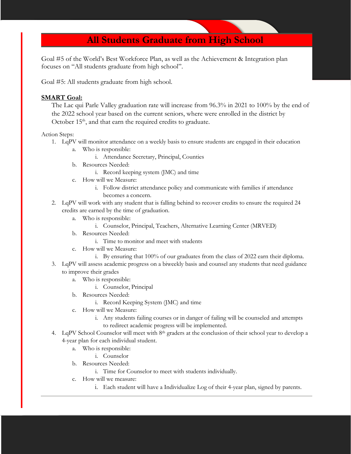## **All Students Graduate from High School**

Goal #5 of the World's Best Workforce Plan, as well as the Achievement & Integration plan focuses on "All students graduate from high school".

Goal #5: All students graduate from high school.

#### **SMART Goal:**

The Lac qui Parle Valley graduation rate will increase from 96.3% in 2021 to 100% by the end of the 2022 school year based on the current seniors, where were enrolled in the district by October  $15<sup>th</sup>$ , and that earn the required credits to graduate.

- 1. LqPV will monitor attendance on a weekly basis to ensure students are engaged in their education
	- a. Who is responsible:
		- i. Attendance Secretary, Principal, Counties
	- b. Resources Needed:
		- i. Record keeping system (JMC) and time
	- c. How will we Measure:
		- i. Follow district attendance policy and communicate with families if attendance becomes a concern.
- 2. LqPV will work with any student that is falling behind to recover credits to ensure the required 24 credits are earned by the time of graduation.
	- a. Who is responsible:
		- i. Counselor, Principal, Teachers, Alternative Learning Center (MRVED)
	- b. Resources Needed:
		- i. Time to monitor and meet with students
	- c. How will we Measure:
		- i. By ensuring that 100% of our graduates from the class of 2022 earn their diploma.
- 3. LqPV will assess academic progress on a biweekly basis and counsel any students that need guidance to improve their grades
	- a. Who is responsible:
		- i. Counselor, Principal
	- b. Resources Needed:
		- i. Record Keeping System (JMC) and time
	- c. How will we Measure:
		- i. Any students failing courses or in danger of failing will be counseled and attempts to redirect academic progress will be implemented.
- 4. LqPV School Counselor will meet with  $8<sup>th</sup>$  graders at the conclusion of their school year to develop a 4-year plan for each individual student.
	- a. Who is responsible:
		- i. Counselor
	- b. Resources Needed:
		- i. Time for Counselor to meet with students individually.
	- c. How will we measure:
		- i. Each student will have a Individualize Log of their 4-year plan, signed by parents.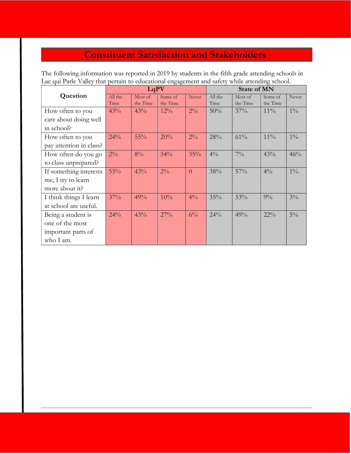# **Constituent Satisfaction and Stakeholders**

The following information was reported in 2019 by students in the fifth grade attending schools in Lac qui Parle Valley that pertain to educational engagement and safety while attending school.

|                         | LqPV            |                     |                     | <b>State of MN</b> |                 |                     |                     |       |
|-------------------------|-----------------|---------------------|---------------------|--------------------|-----------------|---------------------|---------------------|-------|
| Question                | All the<br>Time | Most of<br>the Time | Some of<br>the Time | Never              | All the<br>Time | Most of<br>the Time | Some of<br>the Time | Never |
| How often to you        | 43%             | 43%                 | 12%                 | $2\%$              | 50%             | 37%                 | $11\%$              | $1\%$ |
| care about doing well   |                 |                     |                     |                    |                 |                     |                     |       |
| in school?              |                 |                     |                     |                    |                 |                     |                     |       |
| How often to you        | 24%             | 55%                 | 20%                 | $2\%$              | 28%             | 61%                 | $11\%$              | $1\%$ |
| pay attention in class? |                 |                     |                     |                    |                 |                     |                     |       |
| How often do you go     | $2\%$           | $8\%$               | 54%                 | 35%                | $4\frac{0}{0}$  | $7\%$               | 43%                 | 46%   |
| to class unprepared?    |                 |                     |                     |                    |                 |                     |                     |       |
| If something interests  | 55%             | 43%                 | $2\%$               | $\overline{0}$     | 38%             | 57%                 | $4\%$               | $1\%$ |
| me, I try to learn      |                 |                     |                     |                    |                 |                     |                     |       |
| more about it?          |                 |                     |                     |                    |                 |                     |                     |       |
| I think things I learn  | 37%             | 49%                 | 10%                 | $4\%$              | 35%             | 53%                 | $9\%$               | $3\%$ |
| at school are useful.   |                 |                     |                     |                    |                 |                     |                     |       |
| Being a student is      | 24%             | 43%                 | 27%                 | $6\%$              | 24%             | 49%                 | $22\%$              | $5\%$ |
| one of the most         |                 |                     |                     |                    |                 |                     |                     |       |
| important parts of      |                 |                     |                     |                    |                 |                     |                     |       |
| who I am.               |                 |                     |                     |                    |                 |                     |                     |       |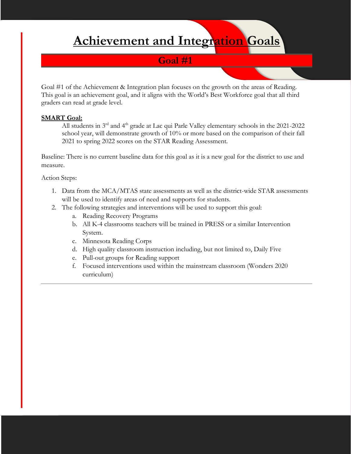# **Achievement and Integration Goals**

### **Goal #1**

Goal #1 of the Achievement & Integration plan focuses on the growth on the areas of Reading. This goal is an achievement goal, and it aligns with the World's Best Workforce goal that all third graders can read at grade level.

#### **SMART Goal:**

All students in  $3<sup>rd</sup>$  and  $4<sup>th</sup>$  grade at Lac qui Parle Valley elementary schools in the 2021-2022 school year, will demonstrate growth of 10% or more based on the comparison of their fall 2021 to spring 2022 scores on the STAR Reading Assessment.

Baseline: There is no current baseline data for this goal as it is a new goal for the district to use and measure.

- 1. Data from the MCA/MTAS state assessments as well as the district-wide STAR assessments will be used to identify areas of need and supports for students.
- 2. The following strategies and interventions will be used to support this goal:
	- a. Reading Recovery Programs
	- b. All K-4 classrooms teachers will be trained in PRESS or a similar Intervention System.
	- c. Minnesota Reading Corps
	- d. High quality classroom instruction including, but not limited to, Daily Five
	- e. Pull-out groups for Reading support
	- f. Focused interventions used within the mainstream classroom (Wonders 2020 curriculum)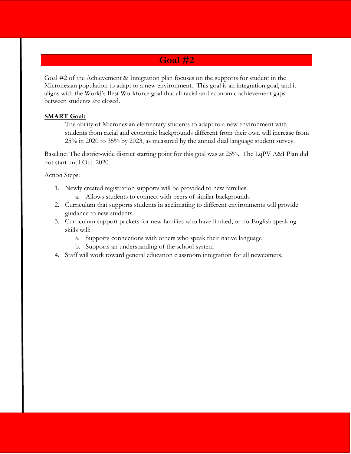### **Goal #2**

Goal #2 of the Achievement & Integration plan focuses on the supports for student in the Micronesian population to adapt to a new environment. This goal is an integration goal, and it aligns with the World's Best Workforce goal that all racial and economic achievement gaps between students are closed.

#### **SMART Goal:**

The ability of Micronesian elementary students to adapt to a new environment with students from racial and economic backgrounds different from their own will increase from 25% in 2020 to 35% by 2023, as measured by the annual dual language student survey.

Baseline: The district-wide district starting point for this goal was at 25%. The LqPV A&I Plan did not start until Oct. 2020.

- 1. Newly created registration supports will be provided to new families.
	- a. Allows students to connect with peers of similar backgrounds
- 2. Curriculum that supports students in acclimating to different environments will provide guidance to new students.
- 3. Curriculum support packets for new families who have limited, or no-English speaking skills will:
	- a. Supports connections with others who speak their native language
	- b. Supports an understanding of the school system
- 4. Staff will work toward general education classroom integration for all newcomers.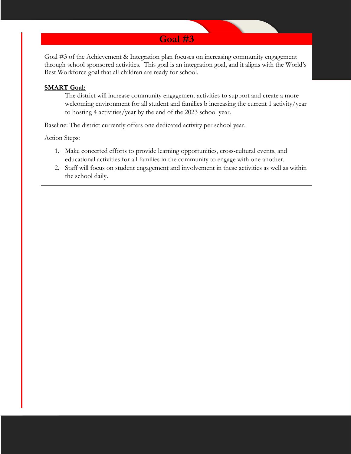

Goal #3 of the Achievement & Integration plan focuses on increasing community engagement through school sponsored activities. This goal is an integration goal, and it aligns with the World's Best Workforce goal that all children are ready for school.

#### **SMART Goal:**

The district will increase community engagement activities to support and create a more welcoming environment for all student and families b increasing the current 1 activity/year to hosting 4 activities/year by the end of the 2023 school year.

Baseline: The district currently offers one dedicated activity per school year.

- 1. Make concerted efforts to provide learning opportunities, cross-cultural events, and educational activities for all families in the community to engage with one another.
- 2. Staff will focus on student engagement and involvement in these activities as well as within the school daily.